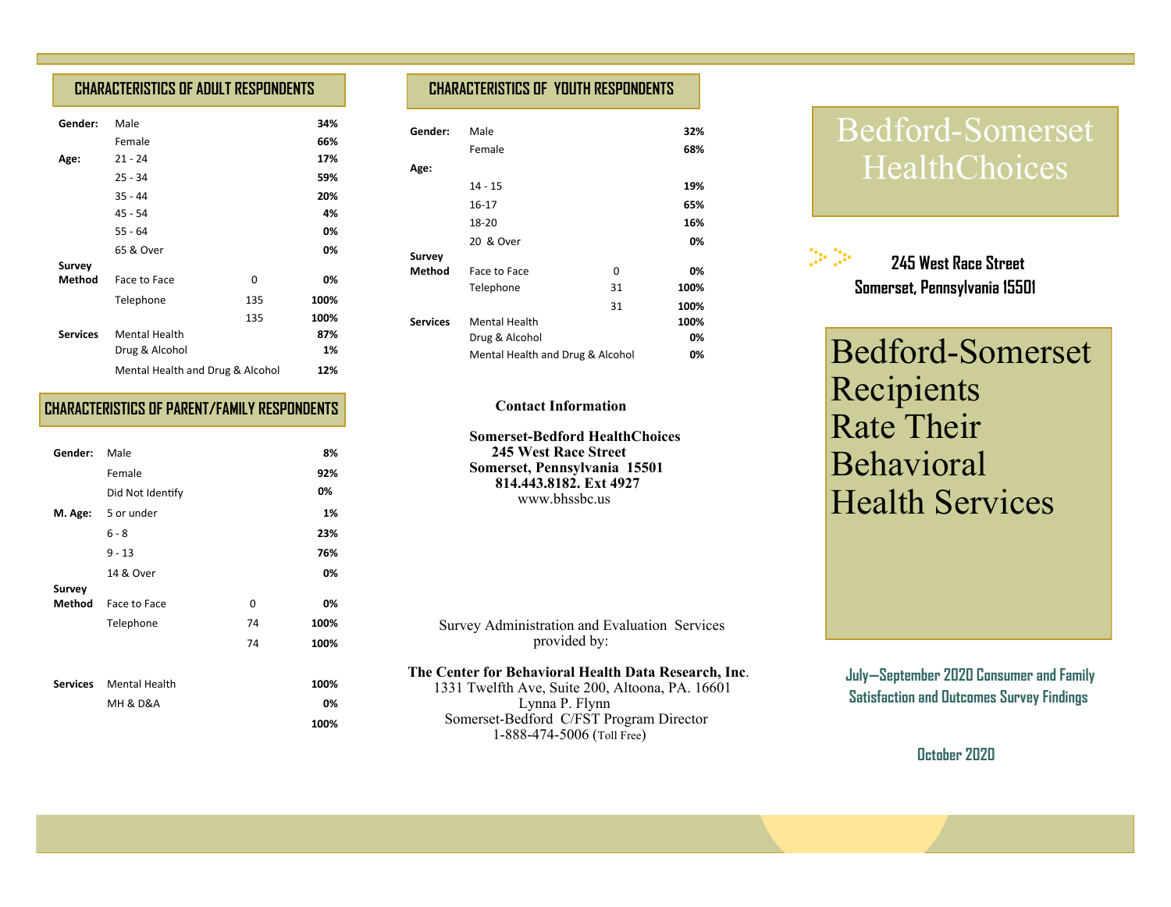# **CHARACTERISTICS OF ADULT RESPONDENTS**

| Gender:         | Male                             |     | 34%  |
|-----------------|----------------------------------|-----|------|
|                 | Female                           |     | 66%  |
| Age:            | $21 - 24$                        |     | 17%  |
|                 | $25 - 34$                        |     | 59%  |
|                 | $35 - 44$                        |     | 20%  |
|                 | 45 - 54                          |     | 4%   |
|                 | $55 - 64$                        |     | 0%   |
|                 | 65 & Over                        |     | 0%   |
| Survey          |                                  |     |      |
| <b>Method</b>   | Face to Face                     | 0   | 0%   |
|                 | Telephone                        | 135 | 100% |
|                 |                                  | 135 | 100% |
| <b>Services</b> | <b>Mental Health</b>             |     | 87%  |
|                 | Drug & Alcohol                   |     | 1%   |
|                 | Mental Health and Drug & Alcohol |     | 12%  |

# **CHARACTERISTICS OF PARENT/FAMILY RESPONDENTS**

| Gender: | Male                    |    | 8%   |
|---------|-------------------------|----|------|
|         | Female                  |    | 92%  |
|         | Did Not Identify        |    | 0%   |
|         | M. Age: 5 or under      |    | 1%   |
|         | $6 - 8$                 |    | 23%  |
|         | $9 - 13$                |    | 76%  |
|         | 14 & Over               |    | 0%   |
| Survey  |                         |    |      |
| Method  | Face to Face            | 0  | 0%   |
|         | Telephone               | 74 | 100% |
|         |                         | 74 | 100% |
|         |                         |    |      |
|         | Services Mental Health  |    | 100% |
|         | <b>MH &amp; D&amp;A</b> |    | 0%   |
|         |                         |    | 100% |

# **CHARACTERISTICS OF YOUTH RESPONDENTS**

| Gender:         | Male                             |    | 32%  |
|-----------------|----------------------------------|----|------|
|                 | Female                           |    | 68%  |
| Age:            |                                  |    |      |
|                 | 14 - 15                          |    | 19%  |
|                 | $16 - 17$                        |    | 65%  |
|                 | 18-20                            |    | 16%  |
|                 | 20 & Over                        |    | 0%   |
| Survey          |                                  |    |      |
| Method          | Face to Face                     | 0  | 0%   |
|                 | Telephone                        | 31 | 100% |
|                 |                                  | 31 | 100% |
| <b>Services</b> | <b>Mental Health</b>             |    | 100% |
|                 | Drug & Alcohol                   |    | 0%   |
|                 | Mental Health and Drug & Alcohol |    | 0%   |

## **Contact Information**

 **Somerset-Bedford HealthChoices 245 West Race Street Somerset, Pennsylvania 15501 814.443.8182. Ext 4927** www.bhssbc.us

 Survey Administration and Evaluation Services provided by:

## **The Center for Behavioral Health Data Research, Inc**.

 1331 Twelfth Ave, Suite 200, Altoona, PA. 16601 Lynna P. Flynn Somerset-Bedford C/FST Program Director 1-888-474-5006 (Toll Free)

# Bedford-Somerset **HealthChoices**



Bedford-Somerset Recipients Rate Their Behavioral Health Services

**July—September 2020 Consumer and Family Satisfaction and Outcomes Survey Findings** 

 **October 2020**